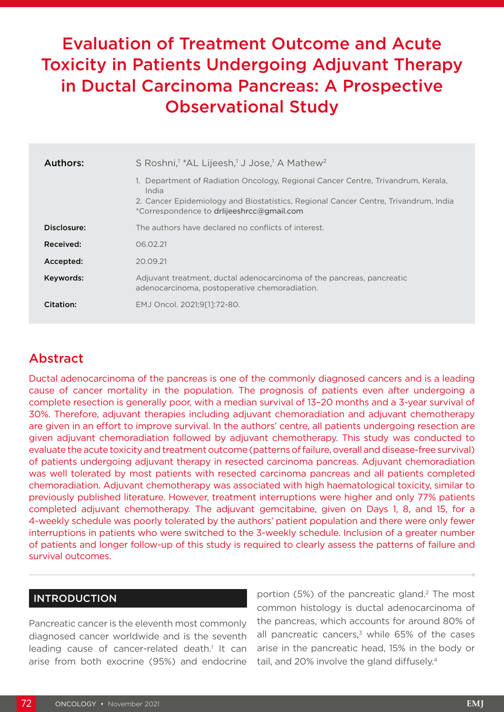# Evaluation of Treatment Outcome and Acute Toxicity in Patients Undergoing Adjuvant Therapy in Ductal Carcinoma Pancreas: A Prospective Observational Study

| Authors:    | S Roshni, <sup>1</sup> *AL Lijeesh, <sup>1</sup> J Jose, <sup>1</sup> A Mathew <sup>2</sup>                                                                                                                                   |
|-------------|-------------------------------------------------------------------------------------------------------------------------------------------------------------------------------------------------------------------------------|
|             | 1. Department of Radiation Oncology, Regional Cancer Centre, Trivandrum, Kerala,<br>India<br>2. Cancer Epidemiology and Biostatistics, Regional Cancer Centre, Trivandrum, India<br>*Correspondence to driijeeshrcc@gmail.com |
| Disclosure: | The authors have declared no conflicts of interest.                                                                                                                                                                           |
| Received:   | 06.02.21                                                                                                                                                                                                                      |
| Accepted:   | 20.09.21                                                                                                                                                                                                                      |
| Keywords:   | Adjuvant treatment, ductal adenocarcinoma of the pancreas, pancreatic<br>adenocarcinoma, postoperative chemoradiation.                                                                                                        |
| Citation:   | EMJ Oncol. 2021:9[11:72-80.                                                                                                                                                                                                   |

# Abstract

Ductal adenocarcinoma of the pancreas is one of the commonly diagnosed cancers and is a leading cause of cancer mortality in the population. The prognosis of patients even after undergoing a complete resection is generally poor, with a median survival of 13–20 months and a 3-year survival of 30%. Therefore, adjuvant therapies including adjuvant chemoradiation and adjuvant chemotherapy are given in an effort to improve survival. In the authors' centre, all patients undergoing resection are given adjuvant chemoradiation followed by adjuvant chemotherapy. This study was conducted to evaluate the acute toxicity and treatment outcome (patterns of failure, overall and disease-free survival) of patients undergoing adjuvant therapy in resected carcinoma pancreas. Adjuvant chemoradiation was well tolerated by most patients with resected carcinoma pancreas and all patients completed chemoradiation. Adjuvant chemotherapy was associated with high haematological toxicity, similar to previously published literature. However, treatment interruptions were higher and only 77% patients completed adjuvant chemotherapy. The adjuvant gemcitabine, given on Days 1, 8, and 15, for a 4-weekly schedule was poorly tolerated by the authors' patient population and there were only fewer interruptions in patients who were switched to the 3-weekly schedule. Inclusion of a greater number of patients and longer follow-up of this study is required to clearly assess the patterns of failure and survival outcomes.

## INTRODUCTION

Pancreatic cancer is the eleventh most commonly diagnosed cancer worldwide and is the seventh leading cause of cancer-related death.<sup>1</sup> It can arise from both exocrine (95%) and endocrine

portion (5%) of the pancreatic gland.<sup>2</sup> The most common histology is ductal adenocarcinoma of the pancreas, which accounts for around 80% of all pancreatic cancers, $3$  while 65% of the cases arise in the pancreatic head, 15% in the body or tail, and 20% involve the gland diffusely.<sup>4</sup>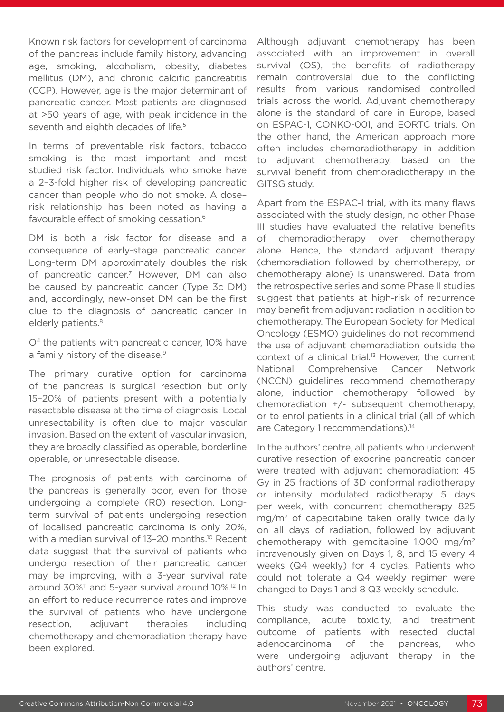Known risk factors for development of carcinoma of the pancreas include family history, advancing age, smoking, alcoholism, obesity, diabetes mellitus (DM), and chronic calcific pancreatitis (CCP). However, age is the major determinant of pancreatic cancer. Most patients are diagnosed at >50 years of age, with peak incidence in the seventh and eighth decades of life.<sup>5</sup>

In terms of preventable risk factors, tobacco smoking is the most important and most studied risk factor. Individuals who smoke have a 2–3-fold higher risk of developing pancreatic cancer than people who do not smoke. A dose– risk relationship has been noted as having a favourable effect of smoking cessation.6

DM is both a risk factor for disease and a consequence of early-stage pancreatic cancer. Long-term DM approximately doubles the risk of pancreatic cancer.7 However, DM can also be caused by pancreatic cancer (Type 3c DM) and, accordingly, new-onset DM can be the first clue to the diagnosis of pancreatic cancer in elderly patients.<sup>8</sup>

Of the patients with pancreatic cancer, 10% have a family history of the disease.<sup>9</sup>

The primary curative option for carcinoma of the pancreas is surgical resection but only 15–20% of patients present with a potentially resectable disease at the time of diagnosis. Local unresectability is often due to major vascular invasion. Based on the extent of vascular invasion, they are broadly classified as operable, borderline operable, or unresectable disease.

The prognosis of patients with carcinoma of the pancreas is generally poor, even for those undergoing a complete (R0) resection. Longterm survival of patients undergoing resection of localised pancreatic carcinoma is only 20%, with a median survival of 13-20 months.<sup>10</sup> Recent data suggest that the survival of patients who undergo resection of their pancreatic cancer may be improving, with a 3-year survival rate around 30%<sup>11</sup> and 5-year survival around 10%.<sup>12</sup> In an effort to reduce recurrence rates and improve the survival of patients who have undergone resection, adjuvant therapies including chemotherapy and chemoradiation therapy have been explored.

Although adjuvant chemotherapy has been associated with an improvement in overall survival (OS), the benefits of radiotherapy remain controversial due to the conflicting results from various randomised controlled trials across the world. Adjuvant chemotherapy alone is the standard of care in Europe, based on ESPAC-1, CONKO-001, and EORTC trials. On the other hand, the American approach more often includes chemoradiotherapy in addition to adjuvant chemotherapy, based on the survival benefit from chemoradiotherapy in the GITSG study.

Apart from the ESPAC-1 trial, with its many flaws associated with the study design, no other Phase III studies have evaluated the relative benefits of chemoradiotherapy over chemotherapy alone. Hence, the standard adjuvant therapy (chemoradiation followed by chemotherapy, or chemotherapy alone) is unanswered. Data from the retrospective series and some Phase II studies suggest that patients at high-risk of recurrence may benefit from adjuvant radiation in addition to chemotherapy. The European Society for Medical Oncology (ESMO) guidelines do not recommend the use of adjuvant chemoradiation outside the context of a clinical trial.<sup>13</sup> However, the current National Comprehensive Cancer Network (NCCN) guidelines recommend chemotherapy alone, induction chemotherapy followed by chemoradiation +/- subsequent chemotherapy, or to enrol patients in a clinical trial (all of which are Category 1 recommendations).<sup>14</sup>

In the authors' centre, all patients who underwent curative resection of exocrine pancreatic cancer were treated with adjuvant chemoradiation: 45 Gy in 25 fractions of 3D conformal radiotherapy or intensity modulated radiotherapy 5 days per week, with concurrent chemotherapy 825 mg/m2 of capecitabine taken orally twice daily on all days of radiation, followed by adjuvant chemotherapy with gemcitabine 1,000 mg/m2 intravenously given on Days 1, 8, and 15 every 4 weeks (Q4 weekly) for 4 cycles. Patients who could not tolerate a Q4 weekly regimen were changed to Days 1 and 8 Q3 weekly schedule.

This study was conducted to evaluate the compliance, acute toxicity, and treatment outcome of patients with resected ductal adenocarcinoma of the pancreas, who were undergoing adjuvant therapy in the authors' centre.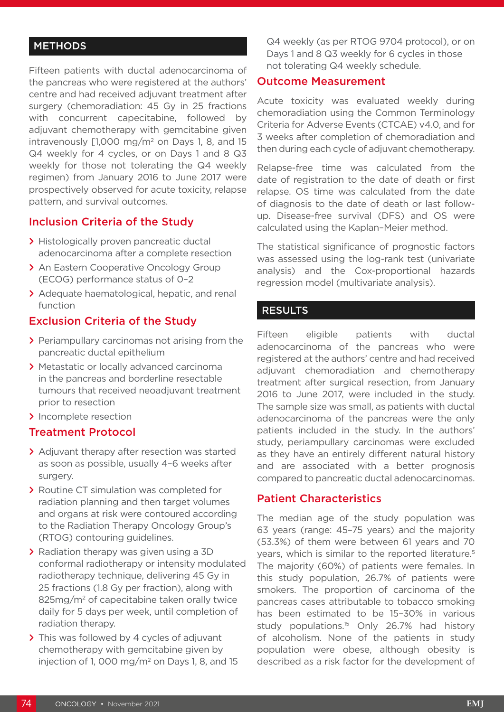## **METHODS**

Fifteen patients with ductal adenocarcinoma of the pancreas who were registered at the authors' centre and had received adjuvant treatment after surgery (chemoradiation: 45 Gy in 25 fractions with concurrent capecitabine, followed by adjuvant chemotherapy with gemcitabine given intravenously  $[1,000 \text{ mg/m}^2$  on Days 1, 8, and 15 Q4 weekly for 4 cycles, or on Days 1 and 8 Q3 weekly for those not tolerating the Q4 weekly regimen) from January 2016 to June 2017 were prospectively observed for acute toxicity, relapse pattern, and survival outcomes.

#### Inclusion Criteria of the Study

- **>** Histologically proven pancreatic ductal adenocarcinoma after a complete resection
- **>** An Eastern Cooperative Oncology Group (ECOG) performance status of 0–2
- **>** Adequate haematological, hepatic, and renal function

#### Exclusion Criteria of the Study

- **>** Periampullary carcinomas not arising from the pancreatic ductal epithelium
- **>** Metastatic or locally advanced carcinoma in the pancreas and borderline resectable tumours that received neoadjuvant treatment prior to resection
- **>** Incomplete resection

#### Treatment Protocol

- **>** Adjuvant therapy after resection was started as soon as possible, usually 4–6 weeks after surgery.
- **>** Routine CT simulation was completed for radiation planning and then target volumes and organs at risk were contoured according to the Radiation Therapy Oncology Group's (RTOG) contouring guidelines.
- **>** Radiation therapy was given using a 3D conformal radiotherapy or intensity modulated radiotherapy technique, delivering 45 Gy in 25 fractions (1.8 Gy per fraction), along with 825mg/m<sup>2</sup> of capecitabine taken orally twice daily for 5 days per week, until completion of radiation therapy.
- **>** This was followed by 4 cycles of adjuvant chemotherapy with gemcitabine given by injection of 1, 000 mg/m<sup>2</sup> on Days 1, 8, and 15

Q4 weekly (as per RTOG 9704 protocol), or on Days 1 and 8 Q3 weekly for 6 cycles in those not tolerating Q4 weekly schedule.

#### Outcome Measurement

Acute toxicity was evaluated weekly during chemoradiation using the Common Terminology Criteria for Adverse Events (CTCAE) v4.0, and for 3 weeks after completion of chemoradiation and then during each cycle of adjuvant chemotherapy.

Relapse-free time was calculated from the date of registration to the date of death or first relapse. OS time was calculated from the date of diagnosis to the date of death or last followup. Disease-free survival (DFS) and OS were calculated using the Kaplan–Meier method.

The statistical significance of prognostic factors was assessed using the log-rank test (univariate analysis) and the Cox-proportional hazards regression model (multivariate analysis).

#### RESULTS

Fifteen eligible patients with ductal adenocarcinoma of the pancreas who were registered at the authors' centre and had received adjuvant chemoradiation and chemotherapy treatment after surgical resection, from January 2016 to June 2017, were included in the study. The sample size was small, as patients with ductal adenocarcinoma of the pancreas were the only patients included in the study. In the authors' study, periampullary carcinomas were excluded as they have an entirely different natural history and are associated with a better prognosis compared to pancreatic ductal adenocarcinomas.

## Patient Characteristics

The median age of the study population was 63 years (range: 45–75 years) and the majority (53.3%) of them were between 61 years and 70 years, which is similar to the reported literature.<sup>5</sup> The majority (60%) of patients were females. In this study population, 26.7% of patients were smokers. The proportion of carcinoma of the pancreas cases attributable to tobacco smoking has been estimated to be 15–30% in various study populations.<sup>15</sup> Only 26.7% had history of alcoholism. None of the patients in study population were obese, although obesity is described as a risk factor for the development of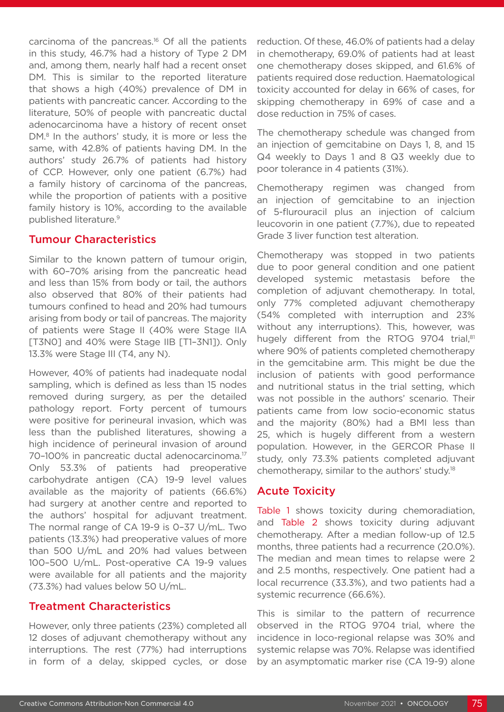carcinoma of the pancreas.16 Of all the patients in this study, 46.7% had a history of Type 2 DM and, among them, nearly half had a recent onset DM. This is similar to the reported literature that shows a high (40%) prevalence of DM in patients with pancreatic cancer. According to the literature, 50% of people with pancreatic ductal adenocarcinoma have a history of recent onset DM.<sup>8</sup> In the authors' study, it is more or less the same, with 42.8% of patients having DM. In the authors' study 26.7% of patients had history of CCP. However, only one patient (6.7%) had a family history of carcinoma of the pancreas, while the proportion of patients with a positive family history is 10%, according to the available published literature.9

#### Tumour Characteristics

Similar to the known pattern of tumour origin, with 60–70% arising from the pancreatic head and less than 15% from body or tail, the authors also observed that 80% of their patients had tumours confined to head and 20% had tumours arising from body or tail of pancreas. The majority of patients were Stage II (40% were Stage IIA [T3N0] and 40% were Stage IIB [T1-3N1]). Only 13.3% were Stage III (T4, any N).

However, 40% of patients had inadequate nodal sampling, which is defined as less than 15 nodes removed during surgery, as per the detailed pathology report. Forty percent of tumours were positive for perineural invasion, which was less than the published literatures, showing a high incidence of perineural invasion of around 70-100% in pancreatic ductal adenocarcinoma.<sup>17</sup> Only 53.3% of patients had preoperative carbohydrate antigen (CA) 19-9 level values available as the majority of patients (66.6%) had surgery at another centre and reported to the authors' hospital for adjuvant treatment. The normal range of CA 19-9 is 0–37 U/mL. Two patients (13.3%) had preoperative values of more than 500 U/mL and 20% had values between 100–500 U/mL. Post-operative CA 19-9 values were available for all patients and the majority (73.3%) had values below 50 U/mL.

## Treatment Characteristics

However, only three patients (23%) completed all 12 doses of adjuvant chemotherapy without any interruptions. The rest (77%) had interruptions in form of a delay, skipped cycles, or dose

reduction. Of these, 46.0% of patients had a delay in chemotherapy, 69.0% of patients had at least one chemotherapy doses skipped, and 61.6% of patients required dose reduction. Haematological toxicity accounted for delay in 66% of cases, for skipping chemotherapy in 69% of case and a dose reduction in 75% of cases.

The chemotherapy schedule was changed from an injection of gemcitabine on Days 1, 8, and 15 Q4 weekly to Days 1 and 8 Q3 weekly due to poor tolerance in 4 patients (31%).

Chemotherapy regimen was changed from an injection of gemcitabine to an injection of 5-flurouracil plus an injection of calcium leucovorin in one patient (7.7%), due to repeated Grade 3 liver function test alteration.

Chemotherapy was stopped in two patients due to poor general condition and one patient developed systemic metastasis before the completion of adjuvant chemotherapy. In total, only 77% completed adjuvant chemotherapy (54% completed with interruption and 23% without any interruptions). This, however, was hugely different from the RTOG 9704 trial.<sup>81</sup> where 90% of patients completed chemotherapy in the gemcitabine arm. This might be due the inclusion of patients with good performance and nutritional status in the trial setting, which was not possible in the authors' scenario. Their patients came from low socio-economic status and the majority (80%) had a BMI less than 25, which is hugely different from a western population. However, in the GERCOR Phase II study, only 73.3% patients completed adjuvant chemotherapy, similar to the authors' study.18

#### Acute Toxicity

Table 1 shows toxicity during chemoradiation, and Table 2 shows toxicity during adjuvant chemotherapy. After a median follow-up of 12.5 months, three patients had a recurrence (20.0%). The median and mean times to relapse were 2 and 2.5 months, respectively. One patient had a local recurrence (33.3%), and two patients had a systemic recurrence (66.6%).

This is similar to the pattern of recurrence observed in the RTOG 9704 trial, where the incidence in loco-regional relapse was 30% and systemic relapse was 70%. Relapse was identified by an asymptomatic marker rise (CA 19-9) alone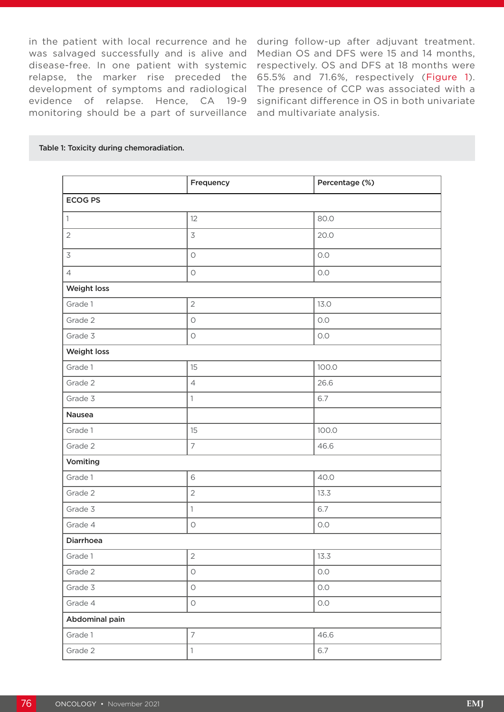in the patient with local recurrence and he during follow-up after adjuvant treatment. was salvaged successfully and is alive and Median OS and DFS were 15 and 14 months, disease-free. In one patient with systemic respectively. OS and DFS at 18 months were relapse, the marker rise preceded the 65.5% and 71.6%, respectively (Figure 1). development of symptoms and radiological evidence of relapse. Hence, CA 19-9 monitoring should be a part of surveillance and multivariate analysis.

The presence of CCP was associated with a significant difference in OS in both univariate

#### Table 1: Toxicity during chemoradiation.

|                | Frequency      | Percentage (%) |
|----------------|----------------|----------------|
| <b>ECOG PS</b> |                |                |
| 1              | 12             | 80.0           |
| $\overline{2}$ | $\overline{3}$ | 20.0           |
| $\overline{3}$ | $\bigcirc$     | O.O            |
| $\overline{4}$ | $\bigcirc$     | O.O            |
| Weight loss    |                |                |
| Grade 1        | $\overline{2}$ | 13.0           |
| Grade 2        | $\bigcirc$     | 0.0            |
| Grade 3        | $\bigcirc$     | O.O            |
| Weight loss    |                |                |
| Grade 1        | 15             | 100.0          |
| Grade 2        | $\sqrt{4}$     | 26.6           |
| Grade 3        | $\mathbb{1}$   | 6.7            |
| Nausea         |                |                |
| Grade 1        | 15             | 100.0          |
| Grade 2        | $\overline{7}$ | 46.6           |
| Vomiting       |                |                |
| Grade 1        | 6              | 40.0           |
| Grade 2        | $\overline{2}$ | 13.3           |
| Grade 3        | $\mathbb{1}$   | 6.7            |
| Grade 4        | $\bigcirc$     | O.O            |
| Diarrhoea      |                |                |
| Grade 1        | $\mathbf{2}$   | 13.3           |
| Grade 2        | $\circ$        | O.O            |
| Grade 3        | $\circ$        | $0.0\,$        |
| Grade 4        | $\bigcirc$     | O.O            |
| Abdominal pain |                |                |
| Grade 1        | $\overline{7}$ | 46.6           |
| Grade 2        | $\mathbf{1}$   | 6.7            |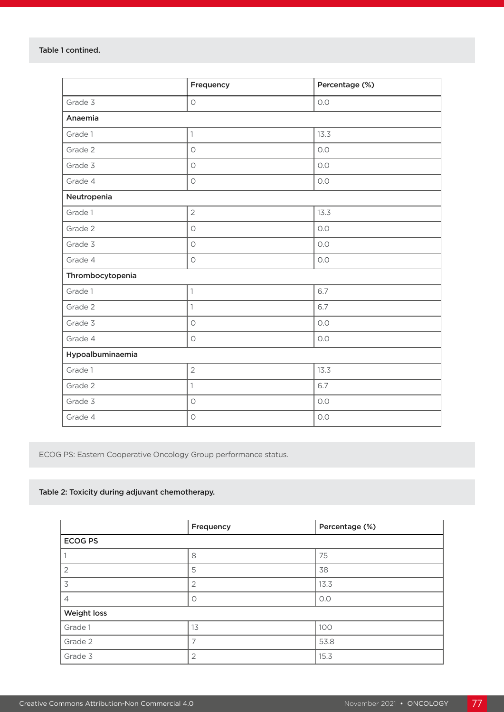|                  | Frequency           | Percentage (%) |  |
|------------------|---------------------|----------------|--|
| Grade 3          | $\bigcirc$          | O.O            |  |
| Anaemia          |                     |                |  |
| Grade 1          | $\mathbb{1}$        | 13.3           |  |
| Grade 2          | $\bigcirc$          | O.O            |  |
| Grade 3          | $\circ$             | O.O            |  |
| Grade 4          | $\bigcirc$          | O.O            |  |
| Neutropenia      |                     |                |  |
| Grade 1          | $\overline{2}$      | 13.3           |  |
| Grade 2          | $\bigcirc$          | O.O            |  |
| Grade 3          | $\bigcirc$          | O.O            |  |
| Grade 4          | $\bigcirc$          | O.O            |  |
| Thrombocytopenia |                     |                |  |
| Grade 1          | $\mathbb{1}$        | 6.7            |  |
| Grade 2          | $\mathbf{1}$        | 6.7            |  |
| Grade 3          | $\circ$             | O.O            |  |
| Grade 4          | $\circlearrowright$ | O.O            |  |
| Hypoalbuminaemia |                     |                |  |
| Grade 1          | $\overline{2}$      | 13.3           |  |
| Grade 2          | $\mathbf{1}$        | 6.7            |  |
| Grade 3          | $\bigcirc$          | $O.O$          |  |
| Grade 4          | $\bigcirc$          | O.O            |  |

ECOG PS: Eastern Cooperative Oncology Group performance status.

#### Table 2: Toxicity during adjuvant chemotherapy.

|                | Frequency      | Percentage (%) |  |
|----------------|----------------|----------------|--|
| <b>ECOG PS</b> |                |                |  |
|                | 8              | 75             |  |
| $\overline{2}$ | 5              | 38             |  |
| 3              | $\overline{2}$ | 13.3           |  |
| $\overline{4}$ | $\circ$        | O.O            |  |
| Weight loss    |                |                |  |
| Grade 1        | 13             | 100            |  |
| Grade 2        |                | 53.8           |  |
| Grade 3        | $\overline{2}$ | 15.3           |  |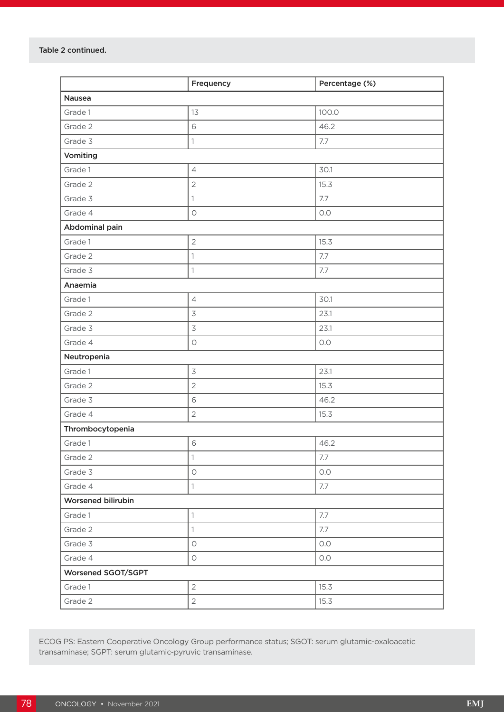|                    | Frequency                | Percentage (%) |
|--------------------|--------------------------|----------------|
| Nausea             |                          |                |
| Grade 1            | 13                       | 100.0          |
| Grade 2            | 6                        | 46.2           |
| Grade 3            | $\mathbf{1}$             | 7.7            |
| Vomiting           |                          |                |
| Grade 1            | $\overline{4}$           | 30.1           |
| Grade 2            | $\overline{2}$           | 15.3           |
| Grade 3            | $\mathbf{1}$             | 7.7            |
| Grade 4            | $\bigcirc$               | O.O            |
| Abdominal pain     |                          |                |
| Grade 1            | $\overline{2}$           | 15.3           |
| Grade 2            | $\mathbf{1}$             | 7.7            |
| Grade 3            | $\mathbf{1}$             | 7.7            |
| Anaemia            |                          |                |
| Grade 1            | $\overline{4}$           | 30.1           |
| Grade 2            | $\overline{3}$           | 23.1           |
| Grade 3            | $\overline{\mathcal{S}}$ | 23.1           |
| Grade 4            | $\bigcirc$               | O.O            |
| Neutropenia        |                          |                |
| Grade 1            | $\mathfrak{Z}$           | 23.1           |
| Grade 2            | $\overline{2}$           | 15.3           |
| Grade 3            | 6                        | 46.2           |
| Grade 4            | $\overline{2}$           | 15.3           |
| Thrombocytopenia   |                          |                |
| Grade 1            | 6                        | 46.2           |
| Grade 2            | $\mathbf{1}$             | 7.7            |
| Grade 3            | $\bigcirc$               | O.O            |
| Grade 4            | $\mathbf{1}$             | 7.7            |
| Worsened bilirubin |                          |                |
| Grade 1            | $\mathbf{1}$             | 7.7            |
| Grade 2            | $\mathbf{1}$             | 7.7            |
| Grade 3            | $\bigcirc$               | 0.0            |
| Grade 4            | $\bigcirc$               | O.O            |
| Worsened SGOT/SGPT |                          |                |
| Grade 1            | $\overline{2}$           | 15.3           |
| Grade 2            | $\overline{2}$           | 15.3           |

ECOG PS: Eastern Cooperative Oncology Group performance status; SGOT: serum glutamic-oxaloacetic transaminase; SGPT: serum glutamic-pyruvic transaminase.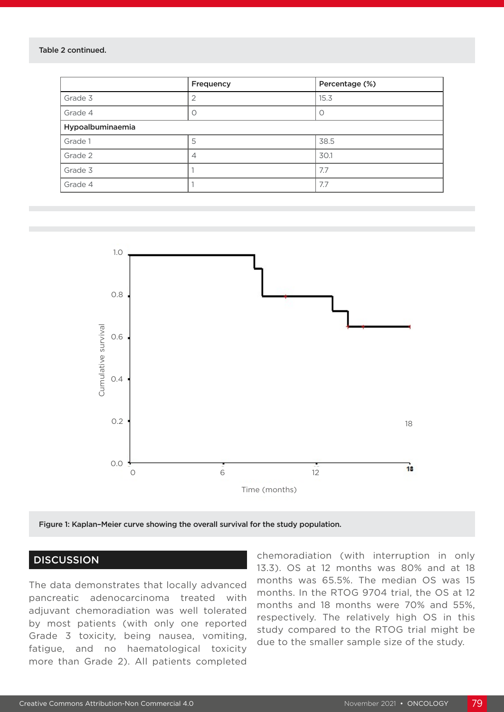#### Table 2 continued.

|                  | Frequency | Percentage (%)   |  |
|------------------|-----------|------------------|--|
| Grade 3          |           | 15.3             |  |
| Grade 4          |           | $\left( \right)$ |  |
| Hypoalbuminaemia |           |                  |  |
| Grade 1          | 5         | 38.5             |  |
| Grade 2          | 4         | 30.1             |  |
| Grade 3          |           | 7.7              |  |
| Grade 4          |           | 7.7              |  |



Figure 1: Kaplan–Meier curve showing the overall survival for the study population.

#### **DISCUSSION**

The data demonstrates that locally advanced pancreatic adenocarcinoma treated with adjuvant chemoradiation was well tolerated by most patients (with only one reported Grade 3 toxicity, being nausea, vomiting, fatigue, and no haematological toxicity more than Grade 2). All patients completed

chemoradiation (with interruption in only 13.3). OS at 12 months was 80% and at 18 months was 65.5%. The median OS was 15 months. In the RTOG 9704 trial, the OS at 12 months and 18 months were 70% and 55%, respectively. The relatively high OS in this study compared to the RTOG trial might be due to the smaller sample size of the study.